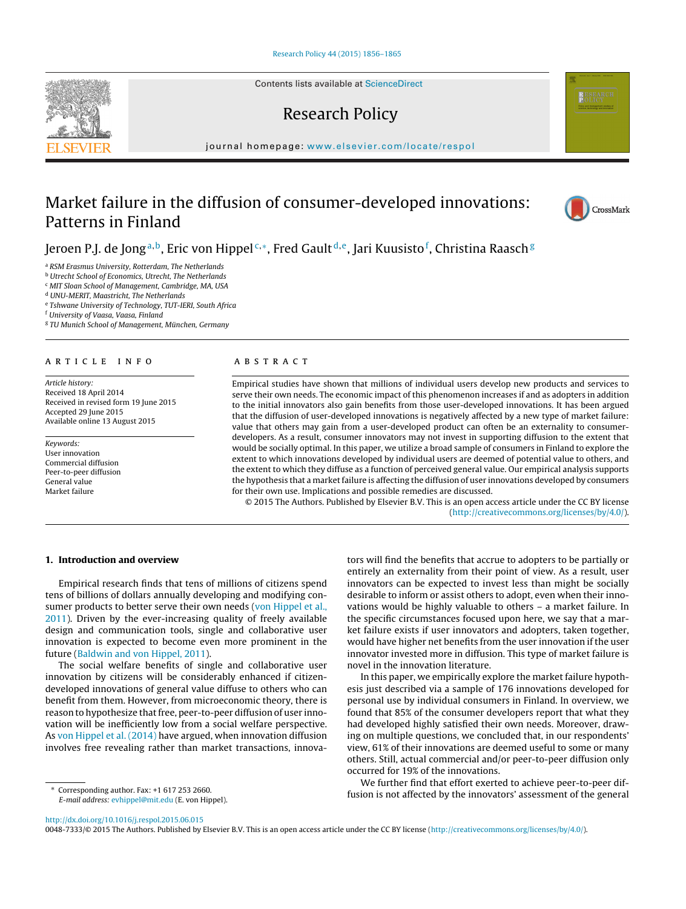Contents lists available at [ScienceDirect](http://www.sciencedirect.com/science/journal/00487333)

# Research Policy

iournal homepage: [www.elsevier.com/locate/respol](http://www.elsevier.com/locate/respol)

# Market failure in the diffusion of consumer-developed innovations: Patterns in Finland



# Jeroen P.J. de Jong<sup>a,b</sup>, Eric von Hippel<sup>c,</sup>\*, Fred Gault<sup>d,e</sup>, Jari Kuusisto<sup>f</sup>, Christina Raasch<sup>g</sup>

<sup>a</sup> RSM Erasmus University, Rotterdam, The Netherlands

- **b** Utrecht School of Economics, Utrecht, The Netherlands
- <sup>c</sup> MIT Sloan School of Management, Cambridge, MA, USA

<sup>d</sup> UNU-MERIT, Maastricht, The Netherlands

<sup>e</sup> Tshwane University of Technology, TUT-IERI, South Africa

<sup>f</sup> University of Vaasa, Vaasa, Finland

<sup>g</sup> TU Munich School of Management, München, Germany

## a r t i c l e i n f o

Article history: Received 18 April 2014 Received in revised form 19 June 2015 Accepted 29 June 2015 Available online 13 August 2015

Keywords: User innovation Commercial diffusion Peer-to-peer diffusion General value Market failure

# A B S T R A C T

Empirical studies have shown that millions of individual users develop new products and services to serve their own needs. The economic impact of this phenomenon increases if and as adopters in addition to the initial innovators also gain benefits from those user-developed innovations. It has been argued that the diffusion of user-developed innovations is negatively affected by a new type of market failure: value that others may gain from a user-developed product can often be an externality to consumerdevelopers. As a result, consumer innovators may not invest in supporting diffusion to the extent that would be socially optimal. In this paper, we utilize a broad sample of consumers in Finland to explore the extent to which innovations developed by individual users are deemed of potential value to others, and the extent to which they diffuse as a function of perceived general value. Our empirical analysis supports the hypothesis that a market failure is affecting the diffusion of user innovations developed by consumers for their own use. Implications and possible remedies are discussed.

© 2015 The Authors. Published by Elsevier B.V. This is an open access article under the CC BY license [\(http://creativecommons.org/licenses/by/4.0/](http://creativecommons.org/licenses/by/4.0/)).

# **1. Introduction and overview**

Empirical research finds that tens of millions of citizens spend tens of billions of dollars annually developing and modifying consumer products to better serve their own needs [\(von](#page-9-0) [Hippel](#page-9-0) et [al.,](#page-9-0) [2011\).](#page-9-0) Driven by the ever-increasing quality of freely available design and communication tools, single and collaborative user innovation is expected to become even more prominent in the future ([Baldwin](#page-9-0) [and](#page-9-0) [von](#page-9-0) [Hippel,](#page-9-0) [2011\).](#page-9-0)

The social welfare benefits of single and collaborative user innovation by citizens will be considerably enhanced if citizendeveloped innovations of general value diffuse to others who can benefit from them. However, from microeconomic theory, there is reason to hypothesize that free, peer-to-peer diffusion of user innovation will be inefficiently low from a social welfare perspective. As [von](#page-9-0) [Hippel](#page-9-0) et [al.](#page-9-0) [\(2014\)](#page-9-0) have argued, when innovation diffusion involves free revealing rather than market transactions, innovators will find the benefits that accrue to adopters to be partially or entirely an externality from their point of view. As a result, user innovators can be expected to invest less than might be socially desirable to inform or assist others to adopt, even when their innovations would be highly valuable to others – a market failure. In the specific circumstances focused upon here, we say that a market failure exists if user innovators and adopters, taken together, would have higher net benefits from the user innovation if the user innovator invested more in diffusion. This type of market failure is novel in the innovation literature.

In this paper, we empirically explore the market failure hypothesis just described via a sample of 176 innovations developed for personal use by individual consumers in Finland. In overview, we found that 85% of the consumer developers report that what they had developed highly satisfied their own needs. Moreover, drawing on multiple questions, we concluded that, in our respondents' view, 61% of their innovations are deemed useful to some or many others. Still, actual commercial and/or peer-to-peer diffusion only occurred for 19% of the innovations.

We further find that effort exerted to achieve peer-to-peer diffusion is not affected by the innovators' assessment of the general

[http://dx.doi.org/10.1016/j.respol.2015.06.015](dx.doi.org/10.1016/j.respol.2015.06.015)

0048-7333/© 2015 The Authors. Published by Elsevier B.V. This is an open access article under the CC BY license [\(http://creativecommons.org/licenses/by/4.0/](http://creativecommons.org/licenses/by/4.0/)).



<sup>∗</sup> Corresponding author. Fax: +1 617 253 2660. E-mail address: [evhippel@mit.edu](mailto:evhippel@mit.edu) (E. von Hippel).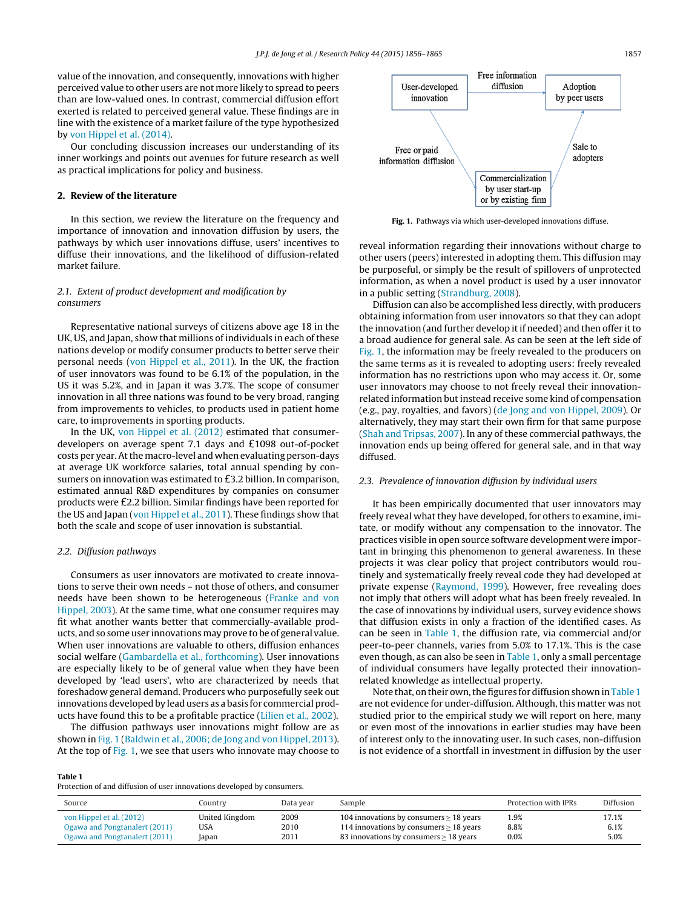<span id="page-1-0"></span>value of the innovation, and consequently, innovations with higher perceived value to other users are not more likely to spread to peers than are low-valued ones. In contrast, commercial diffusion effort exerted is related to perceived general value. These findings are in line with the existence of a market failure of the type hypothesized by [von](#page-9-0) [Hippel](#page-9-0) et [al.](#page-9-0) [\(2014\).](#page-9-0)

Our concluding discussion increases our understanding of its inner workings and points out avenues for future research as well as practical implications for policy and business.

# **2. Review of the literature**

In this section, we review the literature on the frequency and importance of innovation and innovation diffusion by users, the pathways by which user innovations diffuse, users' incentives to diffuse their innovations, and the likelihood of diffusion-related market failure.

# 2.1. Extent of product development and modification by consumers

Representative national surveys of citizens above age 18 in the UK, US, and Japan, show that millions of individuals in each of these nations develop or modify consumer products to better serve their personal needs ([von](#page-9-0) [Hippel](#page-9-0) et [al.,](#page-9-0) [2011\).](#page-9-0) In the UK, the fraction of user innovators was found to be 6.1% of the population, in the US it was 5.2%, and in Japan it was 3.7%. The scope of consumer innovation in all three nations was found to be very broad, ranging from improvements to vehicles, to products used in patient home care, to improvements in sporting products.

In the UK, [von](#page-9-0) [Hippel](#page-9-0) et [al.](#page-9-0) [\(2012\)](#page-9-0) estimated that consumerdevelopers on average spent 7.1 days and £1098 out-of-pocket costs per year.Atthe macro-level and when evaluating person-days at average UK workforce salaries, total annual spending by consumers on innovation was estimated to £3.2 billion. In comparison, estimated annual R&D expenditures by companies on consumer products were £2.2 billion. Similar findings have been reported for the US and Japan [\(von](#page-9-0) [Hippel](#page-9-0) et [al.,](#page-9-0) [2011\).](#page-9-0) These findings show that both the scale and scope of user innovation is substantial.

# 2.2. Diffusion pathways

Consumers as user innovators are motivated to create innovations to serve their own needs – not those of others, and consumer needs have been shown to be heterogeneous ([Franke](#page-9-0) [and](#page-9-0) [von](#page-9-0) [Hippel,](#page-9-0) [2003\).](#page-9-0) At the same time, what one consumer requires may fit what another wants better that commercially-available products, and so some user innovations may prove to be of general value. When user innovations are valuable to others, diffusion enhances social welfare ([Gambardella](#page-9-0) et [al.,](#page-9-0) [forthcoming\).](#page-9-0) User innovations are especially likely to be of general value when they have been developed by 'lead users', who are characterized by needs that foreshadow general demand. Producers who purposefully seek out innovations developed by lead users as a basis for commercial products have found this to be a profitable practice [\(Lilien](#page-9-0) et [al.,](#page-9-0) [2002\).](#page-9-0)

The diffusion pathways user innovations might follow are as shown in Fig. 1 ([Baldwin](#page-9-0) et [al.,](#page-9-0) [2006;](#page-9-0) [de](#page-9-0) [Jong](#page-9-0) [and](#page-9-0) [von](#page-9-0) [Hippel,](#page-9-0) [2013\).](#page-9-0) At the top of Fig. 1, we see that users who innovate may choose to

| Table 1                                                      |
|--------------------------------------------------------------|
| Protection of and diffusion of user innovations developed by |

Free information diffusion User-developed Adoption innovation by peer users Sale to Free or paid adopters information diffusion Commercialization by user start-up or by existing firm

**Fig. 1.** Pathways via which user-developed innovations diffuse.

reveal information regarding their innovations without charge to other users (peers) interested in adopting them. This diffusion may be purposeful, or simply be the result of spillovers of unprotected information, as when a novel product is used by a user innovator in a public setting [\(Strandburg,](#page-9-0) [2008\).](#page-9-0)

Diffusion can also be accomplished less directly, with producers obtaining information from user innovators so that they can adopt the innovation (and further develop it if needed) and then offer it to a broad audience for general sale. As can be seen at the left side of Fig. 1, the information may be freely revealed to the producers on the same terms as it is revealed to adopting users: freely revealed information has no restrictions upon who may access it. Or, some user innovators may choose to not freely reveal their innovationrelated information butinstead receive some kind of compensation (e.g., pay, royalties, and favors) [\(de](#page-9-0) [Jong](#page-9-0) [and](#page-9-0) [von](#page-9-0) [Hippel,](#page-9-0) [2009\).](#page-9-0) Or alternatively, they may start their own firm for that same purpose [\(Shah](#page-9-0) [and](#page-9-0) [Tripsas,](#page-9-0) [2007\).](#page-9-0) In any of these commercial pathways, the innovation ends up being offered for general sale, and in that way diffused.

# 2.3. Prevalence of innovation diffusion by individual users

It has been empirically documented that user innovators may freely reveal what they have developed, for others to examine, imitate, or modify without any compensation to the innovator. The practices visible in open source software development were important in bringing this phenomenon to general awareness. In these projects it was clear policy that project contributors would routinely and systematically freely reveal code they had developed at private expense [\(Raymond,](#page-9-0) [1999\).](#page-9-0) However, free revealing does not imply that others will adopt what has been freely revealed. In the case of innovations by individual users, survey evidence shows that diffusion exists in only a fraction of the identified cases. As can be seen in Table 1, the diffusion rate, via commercial and/or peer-to-peer channels, varies from 5.0% to 17.1%. This is the case even though, as can also be seen in Table 1, only a small percentage of individual consumers have legally protected their innovationrelated knowledge as intellectual property.

Note that, on their own, the figures for diffusion shown in Table 1 are not evidence for under-diffusion. Although, this matter was not studied prior to the empirical study we will report on here, many or even most of the innovations in earlier studies may have been of interest only to the innovating user. In such cases, non-diffusion is not evidence of a shortfall in investment in diffusion by the user

| Source                        | Country        | Data year | Sample                                    | Protection with IPRs | Diffusion |
|-------------------------------|----------------|-----------|-------------------------------------------|----------------------|-----------|
| von Hippel et al. (2012)      | United Kingdom | 2009      | 104 innovations by consumers $>$ 18 years | 1.9%                 | 17.1%     |
| Ogawa and Pongtanalert (2011) | USA            | 2010      | 114 innovations by consumers $>$ 18 years | 8.8%                 | 6.1%      |
| Ogawa and Pongtanalert (2011) | Japan          | 2011      | 83 innovations by consumers > 18 years    | 0.0%                 | 5.0%      |

consumers.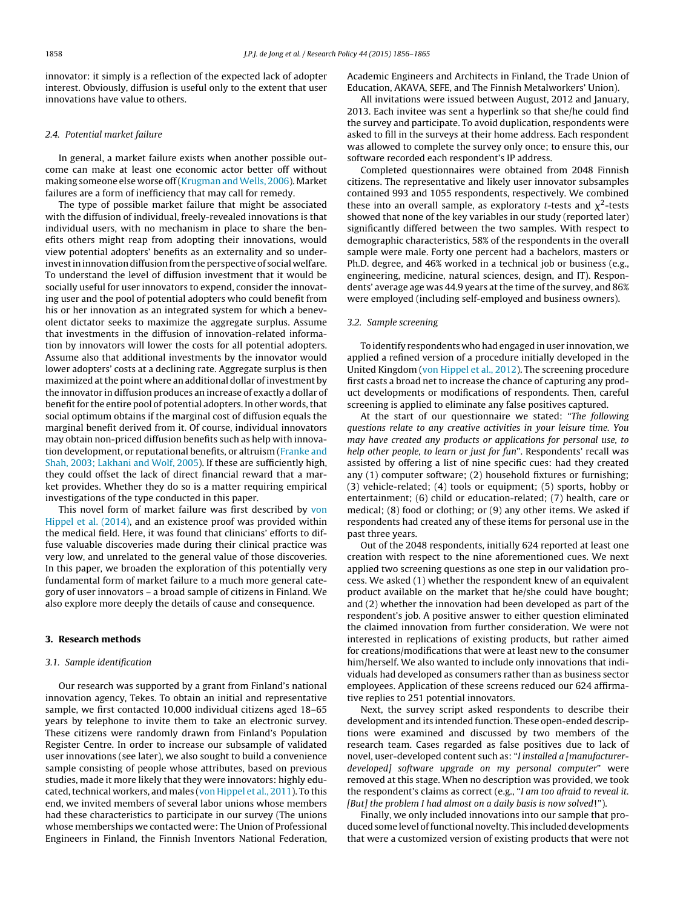<span id="page-2-0"></span>innovator: it simply is a reflection of the expected lack of adopter interest. Obviously, diffusion is useful only to the extent that user innovations have value to others.

# 2.4. Potential market failure

In general, a market failure exists when another possible outcome can make at least one economic actor better off without making someone else worse off [\(Krugman](#page-9-0) and Wells, [2006\).](#page-9-0) Market failures are a form of inefficiency that may call for remedy.

The type of possible market failure that might be associated with the diffusion of individual, freely-revealed innovations is that individual users, with no mechanism in place to share the benefits others might reap from adopting their innovations, would view potential adopters' benefits as an externality and so underinvest in innovation diffusion from the perspective of social welfare. To understand the level of diffusion investment that it would be socially useful for user innovators to expend, consider the innovating user and the pool of potential adopters who could benefit from his or her innovation as an integrated system for which a benevolent dictator seeks to maximize the aggregate surplus. Assume that investments in the diffusion of innovation-related information by innovators will lower the costs for all potential adopters. Assume also that additional investments by the innovator would lower adopters' costs at a declining rate. Aggregate surplus is then maximized at the point where an additional dollar of investment by the innovator in diffusion produces an increase of exactly a dollar of benefit for the entire pool of potential adopters. In other words, that social optimum obtains if the marginal cost of diffusion equals the marginal benefit derived from it. Of course, individual innovators may obtain non-priced diffusion benefits such as help with innovation development, or reputational benefits, or altruism ([Franke](#page-9-0) [and](#page-9-0) [Shah,](#page-9-0) [2003;](#page-9-0) [Lakhani](#page-9-0) [and](#page-9-0) [Wolf,](#page-9-0) [2005\).](#page-9-0) If these are sufficiently high, they could offset the lack of direct financial reward that a market provides. Whether they do so is a matter requiring empirical investigations of the type conducted in this paper.

This novel form of market failure was first described by [von](#page-9-0) [Hippel](#page-9-0) et [al.](#page-9-0) [\(2014\),](#page-9-0) and an existence proof was provided within the medical field. Here, it was found that clinicians' efforts to diffuse valuable discoveries made during their clinical practice was very low, and unrelated to the general value of those discoveries. In this paper, we broaden the exploration of this potentially very fundamental form of market failure to a much more general category of user innovators – a broad sample of citizens in Finland. We also explore more deeply the details of cause and consequence.

# **3. Research methods**

# 3.1. Sample identification

Our research was supported by a grant from Finland's national innovation agency, Tekes. To obtain an initial and representative sample, we first contacted 10,000 individual citizens aged 18–65 years by telephone to invite them to take an electronic survey. These citizens were randomly drawn from Finland's Population Register Centre. In order to increase our subsample of validated user innovations (see later), we also sought to build a convenience sample consisting of people whose attributes, based on previous studies, made it more likely that they were innovators: highly edu-cated, technical workers, and males [\(von](#page-9-0) [Hippel](#page-9-0) et [al.,](#page-9-0) [2011\).](#page-9-0) To this end, we invited members of several labor unions whose members had these characteristics to participate in our survey (The unions whose memberships we contacted were: The Union of Professional Engineers in Finland, the Finnish Inventors National Federation, Academic Engineers and Architects in Finland, the Trade Union of Education, AKAVA, SEFE, and The Finnish Metalworkers' Union).

All invitations were issued between August, 2012 and January, 2013. Each invitee was sent a hyperlink so that she/he could find the survey and participate. To avoid duplication, respondents were asked to fill in the surveys at their home address. Each respondent was allowed to complete the survey only once; to ensure this, our software recorded each respondent's IP address.

Completed questionnaires were obtained from 2048 Finnish citizens. The representative and likely user innovator subsamples contained 993 and 1055 respondents, respectively. We combined these into an overall sample, as exploratory *t*-tests and  $\chi^2$ -tests showed that none of the key variables in our study (reported later) significantly differed between the two samples. With respect to demographic characteristics, 58% of the respondents in the overall sample were male. Forty one percent had a bachelors, masters or Ph.D. degree, and 46% worked in a technical job or business (e.g., engineering, medicine, natural sciences, design, and IT). Respondents' average age was 44.9 years at the time of the survey, and 86% were employed (including self-employed and business owners).

#### 3.2. Sample screening

To identify respondents who had engaged in user innovation, we applied a refined version of a procedure initially developed in the United Kingdom ([von](#page-9-0) [Hippel](#page-9-0) et [al.,](#page-9-0) [2012\).](#page-9-0) The screening procedure first casts a broad net to increase the chance of capturing any product developments or modifications of respondents. Then, careful screening is applied to eliminate any false positives captured.

At the start of our questionnaire we stated: "The following questions relate to any creative activities in your leisure time. You may have created any products or applications for personal use, to help other people, to learn or just for fun". Respondents' recall was assisted by offering a list of nine specific cues: had they created any (1) computer software; (2) household fixtures or furnishing; (3) vehicle-related; (4) tools or equipment; (5) sports, hobby or entertainment; (6) child or education-related; (7) health, care or medical; (8) food or clothing; or (9) any other items. We asked if respondents had created any of these items for personal use in the past three years.

Out of the 2048 respondents, initially 624 reported at least one creation with respect to the nine aforementioned cues. We next applied two screening questions as one step in our validation process. We asked (1) whether the respondent knew of an equivalent product available on the market that he/she could have bought; and (2) whether the innovation had been developed as part of the respondent's job. A positive answer to either question eliminated the claimed innovation from further consideration. We were not interested in replications of existing products, but rather aimed for creations/modifications that were at least new to the consumer him/herself. We also wanted to include only innovations that individuals had developed as consumers rather than as business sector employees. Application of these screens reduced our 624 affirmative replies to 251 potential innovators.

Next, the survey script asked respondents to describe their development and its intended function. These open-ended descriptions were examined and discussed by two members of the research team. Cases regarded as false positives due to lack of novel, user-developed content such as: "I installed a [manufacturerdeveloped] software upgrade on my personal computer" were removed at this stage. When no description was provided, we took the respondent's claims as correct (e.g., "I am too afraid to reveal it. [But] the problem I had almost on a daily basis is now solved!").

Finally, we only included innovations into our sample that produced some level of functional novelty. This included developments that were a customized version of existing products that were not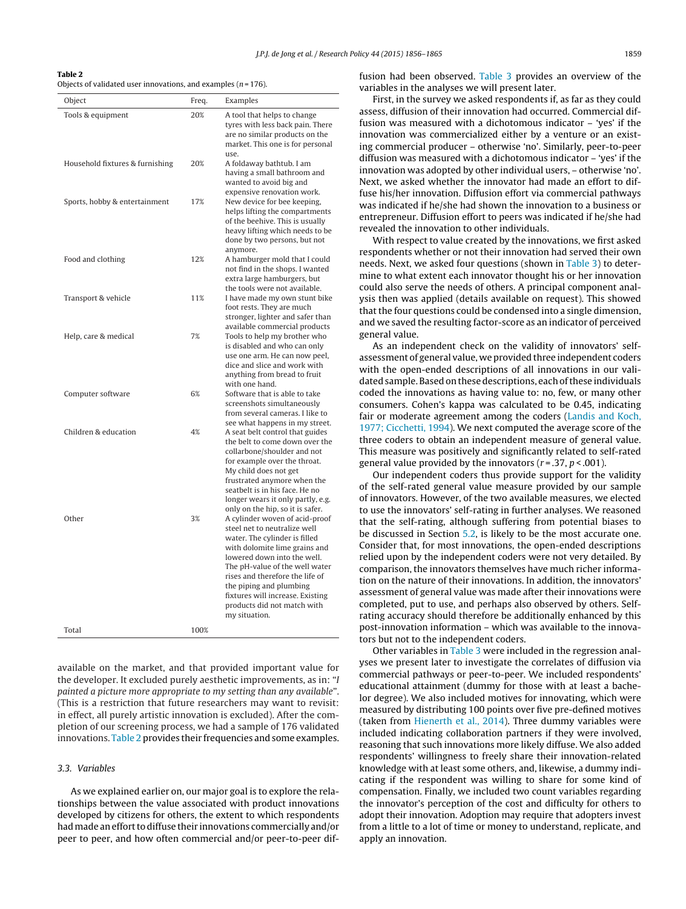**Table 2**

Objects of validated user innovations, and examples ( $n = 176$ ).

| Object                          | Freq. | Examples                                                                                                                                                                                                                                                                                                                                            |
|---------------------------------|-------|-----------------------------------------------------------------------------------------------------------------------------------------------------------------------------------------------------------------------------------------------------------------------------------------------------------------------------------------------------|
| Tools & equipment               | 20%   | A tool that helps to change<br>tyres with less back pain. There<br>are no similar products on the<br>market. This one is for personal<br>use.                                                                                                                                                                                                       |
| Household fixtures & furnishing | 20%   | A foldaway bathtub. I am<br>having a small bathroom and<br>wanted to avoid big and<br>expensive renovation work.                                                                                                                                                                                                                                    |
| Sports, hobby & entertainment   | 17%   | New device for bee keeping,<br>helps lifting the compartments<br>of the beehive. This is usually<br>heavy lifting which needs to be<br>done by two persons, but not<br>anymore.                                                                                                                                                                     |
| Food and clothing               | 12%   | A hamburger mold that I could<br>not find in the shops. I wanted<br>extra large hamburgers, but<br>the tools were not available.                                                                                                                                                                                                                    |
| Transport & vehicle             | 11%   | I have made my own stunt bike<br>foot rests. They are much<br>stronger, lighter and safer than<br>available commercial products                                                                                                                                                                                                                     |
| Help, care & medical            | 7%    | Tools to help my brother who<br>is disabled and who can only<br>use one arm. He can now peel,<br>dice and slice and work with<br>anything from bread to fruit<br>with one hand.                                                                                                                                                                     |
| Computer software               | 6%    | Software that is able to take<br>screenshots simultaneously<br>from several cameras. I like to<br>see what happens in my street.                                                                                                                                                                                                                    |
| Children & education            | 4%    | A seat belt control that guides<br>the belt to come down over the<br>collarbone/shoulder and not<br>for example over the throat.<br>My child does not get<br>frustrated anymore when the<br>seatbelt is in his face. He no<br>longer wears it only partly, e.g.<br>only on the hip, so it is safer.                                                 |
| Other                           | 3%    | A cylinder woven of acid-proof<br>steel net to neutralize well<br>water. The cylinder is filled<br>with dolomite lime grains and<br>lowered down into the well.<br>The pH-value of the well water<br>rises and therefore the life of<br>the piping and plumbing<br>fixtures will increase. Existing<br>products did not match with<br>my situation. |
| Total                           | 100%  |                                                                                                                                                                                                                                                                                                                                                     |

available on the market, and that provided important value for the developer. It excluded purely aesthetic improvements, as in: "I painted a picture more appropriate to my setting than any available". (This is a restriction that future researchers may want to revisit: in effect, all purely artistic innovation is excluded). After the completion of our screening process, we had a sample of 176 validated innovations. Table 2 provides their frequencies and some examples.

# 3.3. Variables

As we explained earlier on, our major goal is to explore the relationships between the value associated with product innovations developed by citizens for others, the extent to which respondents had made an effort to diffuse their innovations commercially and/or peer to peer, and how often commercial and/or peer-to-peer diffusion had been observed. [Table](#page-4-0) 3 provides an overview of the variables in the analyses we will present later.

First, in the survey we asked respondents if, as far as they could assess, diffusion of their innovation had occurred. Commercial diffusion was measured with a dichotomous indicator – 'yes' if the innovation was commercialized either by a venture or an existing commercial producer – otherwise 'no'. Similarly, peer-to-peer diffusion was measured with a dichotomous indicator – 'yes' if the innovation was adopted by other individual users, – otherwise 'no'. Next, we asked whether the innovator had made an effort to diffuse his/her innovation. Diffusion effort via commercial pathways was indicated if he/she had shown the innovation to a business or entrepreneur. Diffusion effort to peers was indicated if he/she had revealed the innovation to other individuals.

With respect to value created by the innovations, we first asked respondents whether or not their innovation had served their own needs. Next, we asked four questions (shown in [Table](#page-4-0) 3) to determine to what extent each innovator thought his or her innovation could also serve the needs of others. A principal component analysis then was applied (details available on request). This showed that the four questions could be condensed into a single dimension, and we saved the resulting factor-score as an indicator of perceived general value.

As an independent check on the validity of innovators' selfassessment of general value, we provided three independent coders with the open-ended descriptions of all innovations in our validated sample. Based on these descriptions, each of these individuals coded the innovations as having value to: no, few, or many other consumers. Cohen's kappa was calculated to be 0.45, indicating fair or moderate agreement among the coders [\(Landis](#page-9-0) [and](#page-9-0) [Koch,](#page-9-0) [1977;](#page-9-0) [Cicchetti,](#page-9-0) [1994\).](#page-9-0) We next computed the average score of the three coders to obtain an independent measure of general value. This measure was positively and significantly related to self-rated general value provided by the innovators ( $r = 0.37$ ,  $p < 0.001$ ).

Our independent coders thus provide support for the validity of the self-rated general value measure provided by our sample of innovators. However, of the two available measures, we elected to use the innovators' self-rating in further analyses. We reasoned that the self-rating, although suffering from potential biases to be discussed in Section [5.2,](#page-7-0) is likely to be the most accurate one. Consider that, for most innovations, the open-ended descriptions relied upon by the independent coders were not very detailed. By comparison, the innovators themselves have much richer information on the nature of their innovations. In addition, the innovators' assessment of general value was made after their innovations were completed, put to use, and perhaps also observed by others. Selfrating accuracy should therefore be additionally enhanced by this post-innovation information – which was available to the innovators but not to the independent coders.

Other variables in [Table](#page-4-0) 3 were included in the regression analyses we present later to investigate the correlates of diffusion via commercial pathways or peer-to-peer. We included respondents' educational attainment (dummy for those with at least a bachelor degree). We also included motives for innovating, which were measured by distributing 100 points over five pre-defined motives (taken from [Hienerth](#page-9-0) et [al.,](#page-9-0) [2014\).](#page-9-0) Three dummy variables were included indicating collaboration partners if they were involved, reasoning that such innovations more likely diffuse. We also added respondents' willingness to freely share their innovation-related knowledge with at least some others, and, likewise, a dummy indicating if the respondent was willing to share for some kind of compensation. Finally, we included two count variables regarding the innovator's perception of the cost and difficulty for others to adopt their innovation. Adoption may require that adopters invest from a little to a lot of time or money to understand, replicate, and apply an innovation.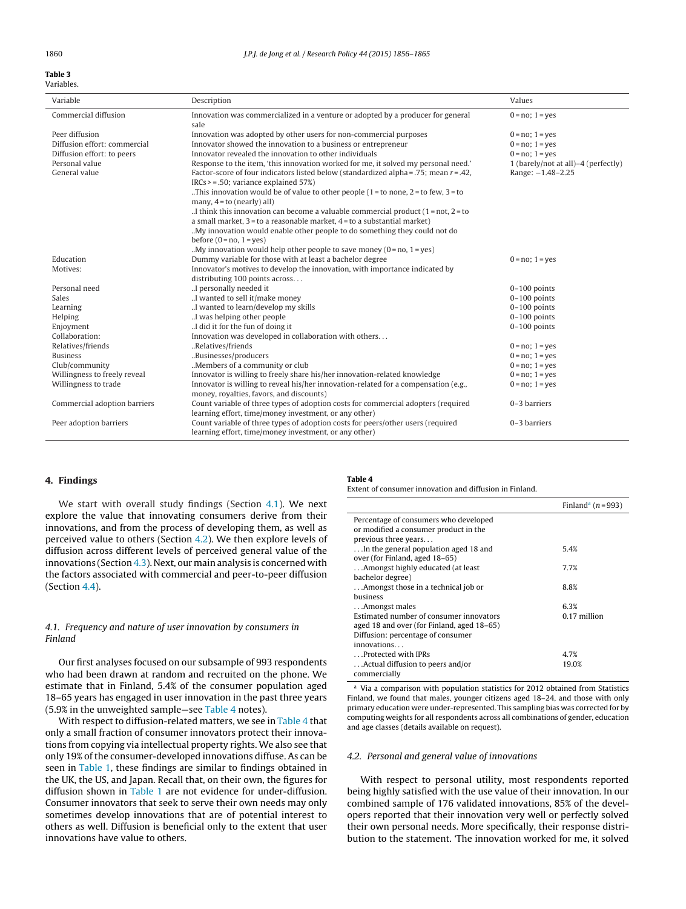### <span id="page-4-0"></span>1860 J.P.J. de Jong et al. / Research Policy 44 (2015) 1856–1865

#### **Table 3** Variables.

| Variable                     | Description                                                                                                                         | Values                              |
|------------------------------|-------------------------------------------------------------------------------------------------------------------------------------|-------------------------------------|
| Commercial diffusion         | Innovation was commercialized in a venture or adopted by a producer for general<br>sale                                             | $0 = no$ ; $1 = yes$                |
| Peer diffusion               | Innovation was adopted by other users for non-commercial purposes                                                                   | $0 = no$ ; $1 = yes$                |
| Diffusion effort: commercial | Innovator showed the innovation to a business or entrepreneur                                                                       | $0 = no$ ; $1 = yes$                |
| Diffusion effort: to peers   | Innovator revealed the innovation to other individuals                                                                              | $0 = no$ ; $1 = yes$                |
| Personal value               | Response to the item, 'this innovation worked for me, it solved my personal need.'                                                  | 1 (barely/not at all)-4 (perfectly) |
| General value                | Factor-score of four indicators listed below (standardized alpha = .75; mean $r = .42$ ,<br>$IRCs$ > = .50; variance explained 57%) | Range: $-1.48 - 2.25$               |
|                              | This innovation would be of value to other people $(1 = to none, 2 = to few, 3 = to$                                                |                                     |
|                              | many, $4 =$ to (nearly) all)                                                                                                        |                                     |
|                              | I think this innovation can become a valuable commercial product $(1 = not, 2 = to)$                                                |                                     |
|                              | a small market, $3 =$ to a reasonable market, $4 =$ to a substantial market)                                                        |                                     |
|                              | My innovation would enable other people to do something they could not do                                                           |                                     |
|                              | before $(0 = no, 1 = yes)$                                                                                                          |                                     |
|                              | My innovation would help other people to save money $(0 = no, 1 = yes)$                                                             |                                     |
| Education                    | Dummy variable for those with at least a bachelor degree                                                                            | $0 = no$ ; $1 = yes$                |
| Motives:                     | Innovator's motives to develop the innovation, with importance indicated by                                                         |                                     |
|                              | distributing 100 points across                                                                                                      |                                     |
| Personal need                | I personally needed it                                                                                                              | $0-100$ points                      |
| Sales                        | I wanted to sell it/make money                                                                                                      | $0-100$ points                      |
| Learning                     | I wanted to learn/develop my skills                                                                                                 | $0-100$ points                      |
| Helping                      | I was helping other people                                                                                                          | $0-100$ points                      |
| Enjoyment                    | I did it for the fun of doing it.                                                                                                   | $0-100$ points                      |
| Collaboration:               | Innovation was developed in collaboration with others                                                                               |                                     |
| Relatives/friends            | Relatives/friends                                                                                                                   | $0 = no$ ; $1 = yes$                |
| <b>Business</b>              | Businesses/producers                                                                                                                | $0 = no$ ; $1 = yes$                |
| Club/community               | Members of a community or club                                                                                                      | $0 = no$ ; $1 = yes$                |
| Willingness to freely reveal | Innovator is willing to freely share his/her innovation-related knowledge                                                           | $0 = no$ ; $1 = yes$                |
| Willingness to trade         | Innovator is willing to reveal his/her innovation-related for a compensation (e.g.,                                                 | $0 = no$ ; $1 = yes$                |
|                              | money, royalties, favors, and discounts)                                                                                            |                                     |
| Commercial adoption barriers | Count variable of three types of adoption costs for commercial adopters (required                                                   | 0-3 barriers                        |
|                              | learning effort, time/money investment, or any other)                                                                               |                                     |
| Peer adoption barriers       | Count variable of three types of adoption costs for peers/other users (required                                                     | 0-3 barriers                        |
|                              | learning effort, time/money investment, or any other)                                                                               |                                     |

# **4. Findings**

We start with overall study findings (Section 4.1). We next explore the value that innovating consumers derive from their innovations, and from the process of developing them, as well as perceived value to others (Section 4.2). We then explore levels of diffusion across different levels of perceived general value of the innovations (Section [4.3\).](#page-5-0) Next, our main analysis is concerned with the factors associated with commercial and peer-to-peer diffusion (Section [4.4\).](#page-5-0)

# 4.1. Frequency and nature of user innovation by consumers in Finland

Our first analyses focused on our subsample of 993 respondents who had been drawn at random and recruited on the phone. We estimate that in Finland, 5.4% of the consumer population aged 18–65 years has engaged in user innovation in the past three years (5.9% in the unweighted sample—see Table 4 notes).

With respect to diffusion-related matters, we see in Table 4 that only a small fraction of consumer innovators protect their innovations from copying via intellectual property rights. We also see that only 19% of the consumer-developed innovations diffuse. As can be seen in [Table](#page-1-0) 1, these findings are similar to findings obtained in the UK, the US, and Japan. Recall that, on their own, the figures for diffusion shown in [Table](#page-1-0) 1 are not evidence for under-diffusion. Consumer innovators that seek to serve their own needs may only sometimes develop innovations that are of potential interest to others as well. Diffusion is beneficial only to the extent that user innovations have value to others.

# **Table 4**

Extent of consumer innovation and diffusion in Finland.

|                                            | Finland <sup>a</sup> ( $n = 993$ ) |
|--------------------------------------------|------------------------------------|
| Percentage of consumers who developed      |                                    |
| or modified a consumer product in the      |                                    |
| previous three years                       |                                    |
| In the general population aged 18 and      | 5.4%                               |
| over (for Finland, aged 18-65)             |                                    |
| Amongst highly educated (at least          | 7.7%                               |
| bachelor degree)                           |                                    |
| Amongst those in a technical job or        | 8.8%                               |
| business                                   |                                    |
| Amongst males                              | 6.3%                               |
| Estimated number of consumer innovators    | 0.17 million                       |
| aged 18 and over (for Finland, aged 18–65) |                                    |
| Diffusion: percentage of consumer          |                                    |
| innovations                                |                                    |
| Protected with IPRs                        | 4.7%                               |
| Actual diffusion to peers and/or           | 19.0%                              |
| commercially                               |                                    |

commercially

<sup>a</sup> Via a comparison with population statistics for 2012 obtained from Statistics Finland, we found that males, younger citizens aged 18–24, and those with only primary education were under-represented. This sampling bias was corrected for by computing weights for all respondents across all combinations of gender, education and age classes (details available on request).

#### 4.2. Personal and general value of innovations

With respect to personal utility, most respondents reported being highly satisfied with the use value of their innovation. In our combined sample of 176 validated innovations, 85% of the developers reported that their innovation very well or perfectly solved their own personal needs. More specifically, their response distribution to the statement. 'The innovation worked for me, it solved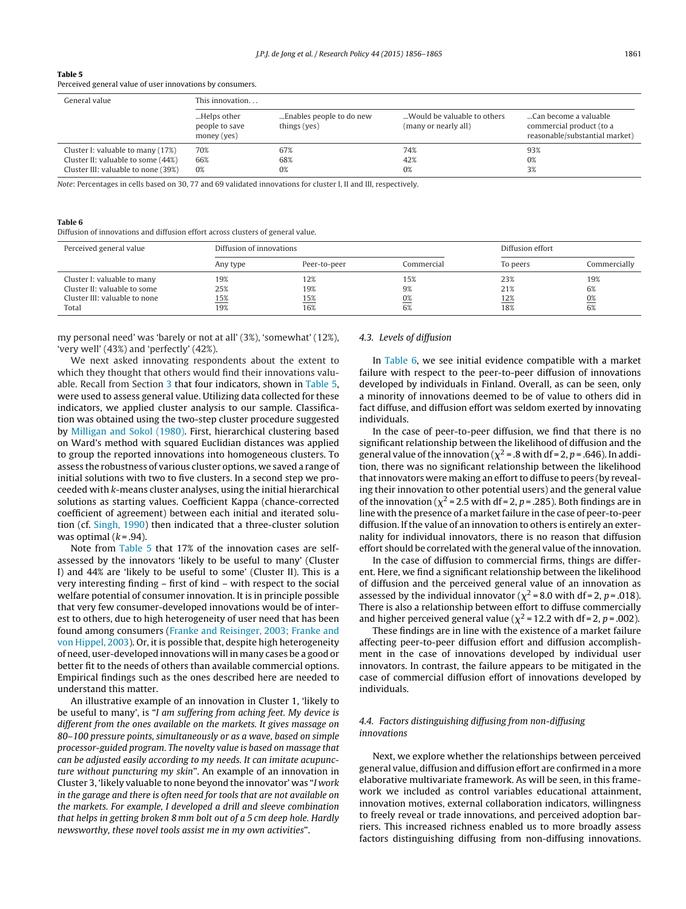<span id="page-5-0"></span>

|--|

Perceived general value of user innovations by consumers.

| General value                       | This innovation                              |                                          |                                                     |                                                                                     |
|-------------------------------------|----------------------------------------------|------------------------------------------|-----------------------------------------------------|-------------------------------------------------------------------------------------|
|                                     | Helps other<br>people to save<br>money (yes) | Enables people to do new<br>things (yes) | Would be valuable to others<br>(many or nearly all) | Can become a valuable<br>commercial product (to a<br>reasonable/substantial market) |
| Cluster I: valuable to many (17%)   | 70%                                          | 67%                                      | 74%                                                 | 93%                                                                                 |
| Cluster II: valuable to some (44%)  | 66%                                          | 68%                                      | 42%                                                 | 0%                                                                                  |
| Cluster III: valuable to none (39%) | 0%                                           | 0%                                       | 0%                                                  | 3%                                                                                  |

Note: Percentages in cells based on 30, 77 and 69 validated innovations for cluster I, II and III, respectively.

#### **Table 6**

Diffusion of innovations and diffusion effort across clusters of general value.

| Perceived general value       | Diffusion of innovations |              |            | Diffusion effort |              |
|-------------------------------|--------------------------|--------------|------------|------------------|--------------|
|                               | Any type                 | Peer-to-peer | Commercial | To peers         | Commercially |
| Cluster I: valuable to many   | 19%                      | 12%          | 15%        | 23%              | 19%          |
| Cluster II: valuable to some  | 25%                      | 19%          | 9%         | 21%              | 6%           |
| Cluster III: valuable to none | 15%                      | <u> 15%</u>  | 0%         | <u>12%</u>       | 0%           |
| Total                         | 19%                      | 16%          | 6%         | 18%              | 6%           |

my personal need' was 'barely or not at all' (3%), 'somewhat' (12%), 'very well' (43%) and 'perfectly' (42%).

We next asked innovating respondents about the extent to which they thought that others would find their innovations valuable. Recall from Section [3](#page-2-0) that four indicators, shown in Table 5, were used to assess general value. Utilizing data collected for these indicators, we applied cluster analysis to our sample. Classification was obtained using the two-step cluster procedure suggested by [Milligan](#page-9-0) [and](#page-9-0) [Sokol](#page-9-0) [\(1980\).](#page-9-0) First, hierarchical clustering based on Ward's method with squared Euclidian distances was applied to group the reported innovations into homogeneous clusters. To assess the robustness of various cluster options, we saved a range of initial solutions with two to five clusters. In a second step we proceeded with k-means cluster analyses, using the initial hierarchical solutions as starting values. Coefficient Kappa (chance-corrected coefficient of agreement) between each initial and iterated solution (cf. [Singh,](#page-9-0) [1990\)](#page-9-0) then indicated that a three-cluster solution was optimal  $(k = .94)$ .

Note from Table 5 that 17% of the innovation cases are selfassessed by the innovators 'likely to be useful to many' (Cluster I) and 44% are 'likely to be useful to some' (Cluster II). This is a very interesting finding – first of kind – with respect to the social welfare potential of consumer innovation. It is in principle possible that very few consumer-developed innovations would be of interest to others, due to high heterogeneity of user need that has been found among consumers ([Franke](#page-9-0) [and](#page-9-0) [Reisinger,](#page-9-0) [2003;](#page-9-0) [Franke](#page-9-0) [and](#page-9-0) [von](#page-9-0) [Hippel,](#page-9-0) [2003\).](#page-9-0) Or, it is possible that, despite high heterogeneity of need, user-developed innovations will in many cases be a good or better fit to the needs of others than available commercial options. Empirical findings such as the ones described here are needed to understand this matter.

An illustrative example of an innovation in Cluster 1, 'likely to be useful to many', is "I am suffering from aching feet. My device is different from the ones available on the markets. It gives massage on 80–100 pressure points, simultaneously or as a wave, based on simple processor-guided program. The novelty value is based on massage that can be adjusted easily according to my needs. It can imitate acupuncture without puncturing my skin". An example of an innovation in Cluster 3, 'likely valuable to none beyond the innovator' was "I work in the garage and there is often need for tools that are not available on the markets. For example, I developed a drill and sleeve combination that helps in getting broken 8 mm bolt out of a 5 cm deep hole. Hardly newsworthy, these novel tools assist me in my own activities".

# 4.3. Levels of diffusion

In Table 6, we see initial evidence compatible with a market failure with respect to the peer-to-peer diffusion of innovations developed by individuals in Finland. Overall, as can be seen, only a minority of innovations deemed to be of value to others did in fact diffuse, and diffusion effort was seldom exerted by innovating individuals.

In the case of peer-to-peer diffusion, we find that there is no significant relationship between the likelihood of diffusion and the general value of the innovation ( $\chi^2$  = .8 with df = 2, p = .646). In addition, there was no significant relationship between the likelihood that innovators were making an effort to diffuse to peers (by revealing their innovation to other potential users) and the general value of the innovation ( $\chi^2$  = 2.5 with df = 2, p = .285). Both findings are in line with the presence of a market failure in the case of peer-to-peer diffusion. If the value of an innovation to others is entirely an externality for individual innovators, there is no reason that diffusion effort should be correlated with the general value of the innovation.

In the case of diffusion to commercial firms, things are different. Here, we find a significant relationship between the likelihood of diffusion and the perceived general value of an innovation as assessed by the individual innovator ( $\chi^2$  = 8.0 with df = 2, p = .018). There is also a relationship between effort to diffuse commercially and higher perceived general value ( $\chi^2$  = 12.2 with df = 2, p = .002).

These findings are in line with the existence of a market failure affecting peer-to-peer diffusion effort and diffusion accomplishment in the case of innovations developed by individual user innovators. In contrast, the failure appears to be mitigated in the case of commercial diffusion effort of innovations developed by individuals.

# 4.4. Factors distinguishing diffusing from non-diffusing innovations

Next, we explore whether the relationships between perceived general value, diffusion and diffusion effort are confirmed in a more elaborative multivariate framework. As will be seen, in this framework we included as control variables educational attainment, innovation motives, external collaboration indicators, willingness to freely reveal or trade innovations, and perceived adoption barriers. This increased richness enabled us to more broadly assess factors distinguishing diffusing from non-diffusing innovations.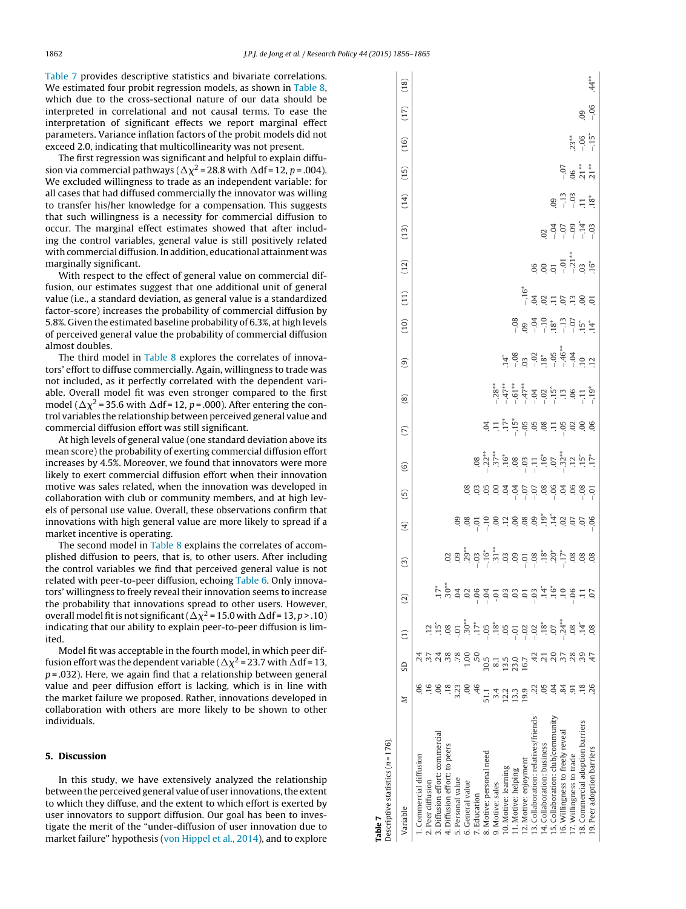Table 7 provides descriptive statistics and bivariate correlations. We estimated four probit regression models, as shown in [Table](#page-7-0) 8, which due to the cross-sectional nature of our data should be interpreted in correlational and not causal terms. To ease the interpretation of significant effects we report marginal effect parameters. Variance inflation factors of the probit models did not exceed 2.0, indicating that multicollinearity was not present.

The first regression was significant and helpful to explain diffusion via commercial pathways (  $\Delta\chi^2$  = 28.8 with  $\Delta{\rm df}$  = 12, *p* = .004). We excluded willingness to trade as an independent variable: for all cases that had diffused commercially the innovator was willing to transfer his/her knowledge for a compensation. This suggests that such willingness is a necessity for commercial diffusion to occur. The marginal effect estimates showed that after including the control variables, general value is still positively related with commercial diffusion. In addition, educational attainment was marginally significant.

With respect to the effect of general value on commercial diffusion, our estimates suggest that one additional unit of general value (i.e., a standard deviation, as general value is a standardized factor-score) increases the probability of commercial diffusion by 5.8%. Given the estimated baseline probability of 6.3%, at high levels of perceived general value the probability of commercial diffusion almost doubles.

The third model in [Table](#page-7-0) 8 explores the correlates of innovators' effort to diffuse commercially. Again, willingness to trade was not included, as it perfectly correlated with the dependent variable. Overall model fit was even stronger compared to the first model ( $\Delta \chi^2$  = 35.6 with  $\Delta$ df = 12, p = .000). After entering the control variables the relationship between perceived general value and commercial diffusion effort was still significant.

At high levels of general value (one standard deviation above its mean score) the probability of exerting commercial diffusion effort increases by 4.5%. Moreover, we found that innovators were more likely to exert commercial diffusion effort when their innovation motive was sales related, when the innovation was developed in collaboration with club or community members, and at high levels of personal use value. Overall, these observations confirm that innovations with high general value are more likely to spread if a market incentive is operating.

The second model in [Table](#page-7-0) 8 explains the correlates of accomplished diffusion to peers, that is, to other users. After including the control variables we find that perceived general value is not related with peer-to-peer diffusion, echoing [Table](#page-5-0) 6. Only innovators' willingness to freely reveal their innovation seems to increase the probability that innovations spread to other users. However, overall model fit is not significant (  $\Delta\chi^2$  = 15.0 with  $\Delta$ df = 13, p > .10) indicating that our ability to explain peer-to-peer diffusion is limited.

Model fit was acceptable in the fourth model, in which peer diffusion effort was the dependent variable (  $\Delta\chi^2$  = 23.7 with  $\Delta$ df = 13,  $p = .032$ ). Here, we again find that a relationship between general value and peer diffusion effort is lacking, which is in line with the market failure we proposed. Rather, innovations developed in collaboration with others are more likely to be shown to other individuals.

# **5. Discussion**

In this study, we have extensively analyzed the relationship between the perceived general value of user innovations, the extent to which they diffuse, and the extent to which effort is exerted by user innovators to support diffusion. Our goal has been to investigate the merit of the "under-diffusion of user innovation due to market failure" hypothesis ([von](#page-9-0) [Hippel](#page-9-0) et [al.,](#page-9-0) [2014\),](#page-9-0) and to explore

| 24<br>SD                           |                  |                                                                                    |                                                                                   |                |               |                                |                                           |                                                                                                                                                                                                                                                                             |                                                                                                                                                                                                                                                                                                                                                                                                                                                                                                                                         |                                                                                      |                                                                         |                       |           |                                                                                                                                                                                                                                                                                                                      |                                         |                                  |                          |                |
|------------------------------------|------------------|------------------------------------------------------------------------------------|-----------------------------------------------------------------------------------|----------------|---------------|--------------------------------|-------------------------------------------|-----------------------------------------------------------------------------------------------------------------------------------------------------------------------------------------------------------------------------------------------------------------------------|-----------------------------------------------------------------------------------------------------------------------------------------------------------------------------------------------------------------------------------------------------------------------------------------------------------------------------------------------------------------------------------------------------------------------------------------------------------------------------------------------------------------------------------------|--------------------------------------------------------------------------------------|-------------------------------------------------------------------------|-----------------------|-----------|----------------------------------------------------------------------------------------------------------------------------------------------------------------------------------------------------------------------------------------------------------------------------------------------------------------------|-----------------------------------------|----------------------------------|--------------------------|----------------|
|                                    | Ξ                | $\widehat{\mathbb{C}}$                                                             | $\widehat{c}$                                                                     | $\overline{4}$ | $\widehat{5}$ | $\left( 6\right)$              | $\overline{C}$                            | $\binom{8}{ }$                                                                                                                                                                                                                                                              | ම                                                                                                                                                                                                                                                                                                                                                                                                                                                                                                                                       | (10)                                                                                 | (11)                                                                    | (12)                  | (13)      | (14)                                                                                                                                                                                                                                                                                                                 | (15)                                    | (16)                             | (17)                     | (18)           |
|                                    |                  |                                                                                    |                                                                                   |                |               |                                |                                           |                                                                                                                                                                                                                                                                             |                                                                                                                                                                                                                                                                                                                                                                                                                                                                                                                                         |                                                                                      |                                                                         |                       |           |                                                                                                                                                                                                                                                                                                                      |                                         |                                  |                          |                |
|                                    |                  |                                                                                    |                                                                                   |                |               |                                |                                           |                                                                                                                                                                                                                                                                             |                                                                                                                                                                                                                                                                                                                                                                                                                                                                                                                                         |                                                                                      |                                                                         |                       |           |                                                                                                                                                                                                                                                                                                                      |                                         |                                  |                          |                |
|                                    | $\frac{15}{2}$   |                                                                                    |                                                                                   |                |               |                                |                                           |                                                                                                                                                                                                                                                                             |                                                                                                                                                                                                                                                                                                                                                                                                                                                                                                                                         |                                                                                      |                                                                         |                       |           |                                                                                                                                                                                                                                                                                                                      |                                         |                                  |                          |                |
|                                    |                  | $30**$                                                                             |                                                                                   |                |               |                                |                                           |                                                                                                                                                                                                                                                                             |                                                                                                                                                                                                                                                                                                                                                                                                                                                                                                                                         |                                                                                      |                                                                         |                       |           |                                                                                                                                                                                                                                                                                                                      |                                         |                                  |                          |                |
|                                    | $\overline{0}$ . |                                                                                    |                                                                                   |                |               |                                |                                           |                                                                                                                                                                                                                                                                             |                                                                                                                                                                                                                                                                                                                                                                                                                                                                                                                                         |                                                                                      |                                                                         |                       |           |                                                                                                                                                                                                                                                                                                                      |                                         |                                  |                          |                |
|                                    |                  | 02                                                                                 |                                                                                   |                |               |                                |                                           |                                                                                                                                                                                                                                                                             |                                                                                                                                                                                                                                                                                                                                                                                                                                                                                                                                         |                                                                                      |                                                                         |                       |           |                                                                                                                                                                                                                                                                                                                      |                                         |                                  |                          |                |
| 50                                 |                  |                                                                                    |                                                                                   |                |               |                                |                                           |                                                                                                                                                                                                                                                                             |                                                                                                                                                                                                                                                                                                                                                                                                                                                                                                                                         |                                                                                      |                                                                         |                       |           |                                                                                                                                                                                                                                                                                                                      |                                         |                                  |                          |                |
|                                    |                  |                                                                                    |                                                                                   |                |               |                                |                                           |                                                                                                                                                                                                                                                                             |                                                                                                                                                                                                                                                                                                                                                                                                                                                                                                                                         |                                                                                      |                                                                         |                       |           |                                                                                                                                                                                                                                                                                                                      |                                         |                                  |                          |                |
|                                    |                  |                                                                                    |                                                                                   |                |               |                                |                                           |                                                                                                                                                                                                                                                                             |                                                                                                                                                                                                                                                                                                                                                                                                                                                                                                                                         |                                                                                      |                                                                         |                       |           |                                                                                                                                                                                                                                                                                                                      |                                         |                                  |                          |                |
|                                    |                  |                                                                                    |                                                                                   |                |               |                                |                                           |                                                                                                                                                                                                                                                                             |                                                                                                                                                                                                                                                                                                                                                                                                                                                                                                                                         |                                                                                      |                                                                         |                       |           |                                                                                                                                                                                                                                                                                                                      |                                         |                                  |                          |                |
|                                    |                  |                                                                                    |                                                                                   |                |               |                                |                                           |                                                                                                                                                                                                                                                                             |                                                                                                                                                                                                                                                                                                                                                                                                                                                                                                                                         |                                                                                      |                                                                         |                       |           |                                                                                                                                                                                                                                                                                                                      |                                         |                                  |                          |                |
| 16.7                               |                  |                                                                                    |                                                                                   |                |               |                                |                                           |                                                                                                                                                                                                                                                                             |                                                                                                                                                                                                                                                                                                                                                                                                                                                                                                                                         |                                                                                      |                                                                         |                       |           |                                                                                                                                                                                                                                                                                                                      |                                         |                                  |                          |                |
| 42                                 |                  | $-03$                                                                              |                                                                                   |                |               |                                |                                           |                                                                                                                                                                                                                                                                             |                                                                                                                                                                                                                                                                                                                                                                                                                                                                                                                                         |                                                                                      |                                                                         |                       |           |                                                                                                                                                                                                                                                                                                                      |                                         |                                  |                          |                |
| $\overline{c}$                     |                  |                                                                                    |                                                                                   |                |               |                                |                                           |                                                                                                                                                                                                                                                                             |                                                                                                                                                                                                                                                                                                                                                                                                                                                                                                                                         |                                                                                      |                                                                         |                       |           |                                                                                                                                                                                                                                                                                                                      |                                         |                                  |                          |                |
| 20                                 | 50.              |                                                                                    |                                                                                   |                |               |                                |                                           |                                                                                                                                                                                                                                                                             |                                                                                                                                                                                                                                                                                                                                                                                                                                                                                                                                         |                                                                                      |                                                                         |                       |           |                                                                                                                                                                                                                                                                                                                      |                                         |                                  |                          |                |
|                                    |                  |                                                                                    |                                                                                   |                |               |                                |                                           |                                                                                                                                                                                                                                                                             |                                                                                                                                                                                                                                                                                                                                                                                                                                                                                                                                         |                                                                                      |                                                                         |                       |           |                                                                                                                                                                                                                                                                                                                      |                                         |                                  |                          |                |
| 28                                 | 08               | $-0.0$                                                                             |                                                                                   |                |               |                                |                                           |                                                                                                                                                                                                                                                                             |                                                                                                                                                                                                                                                                                                                                                                                                                                                                                                                                         |                                                                                      |                                                                         |                       |           |                                                                                                                                                                                                                                                                                                                      |                                         |                                  |                          |                |
|                                    |                  |                                                                                    |                                                                                   |                |               |                                |                                           |                                                                                                                                                                                                                                                                             |                                                                                                                                                                                                                                                                                                                                                                                                                                                                                                                                         |                                                                                      |                                                                         |                       |           |                                                                                                                                                                                                                                                                                                                      |                                         |                                  |                          |                |
| 47                                 | $\overline{0}$   |                                                                                    |                                                                                   |                |               |                                |                                           |                                                                                                                                                                                                                                                                             |                                                                                                                                                                                                                                                                                                                                                                                                                                                                                                                                         |                                                                                      |                                                                         |                       |           |                                                                                                                                                                                                                                                                                                                      |                                         |                                  |                          | $44**$         |
| $30.5$<br>$8.1$<br>$5.0$<br>$23.0$ |                  | $30**$<br>$-24**$<br>$\frac{15}{1}$ 9 $\frac{15}{1}$ 9 9<br>$.14^{\circ}$<br>58.88 | $\frac{14}{16}$<br>$-0.06$<br><b>SSS</b><br>$\overline{.10}$<br>$\overline{10}$ . |                |               | 8888884668856<br>8888885668885 | <u>ន ប៉ុន្តែ ដូ ន ដ ទូ ប៉ុន្តែ ដ ដូ ប</u> | $\Xi \stackrel{\star}{=} \stackrel{\star}{\Xi} \stackrel{\star}{\Xi} \stackrel{\star}{\Xi} \stackrel{\star}{\Xi} \stackrel{\star}{\Xi} \stackrel{\star}{\Xi} \stackrel{\star}{\Xi} \stackrel{\star}{\Xi} \stackrel{\star}{\Xi} \stackrel{\star}{\Xi} \stackrel{\star}{\Xi}$ | $\begin{array}{cccc}\n\stackrel{*}{\stackrel{*}{\sim}} & \stackrel{*}{\sim} & \stackrel{*}{\sim} & \stackrel{*}{\sim} & \stackrel{*}{\sim} & \stackrel{*}{\sim} & \stackrel{*}{\sim} & \stackrel{*}{\sim} & \stackrel{*}{\sim} & \stackrel{*}{\sim} & \stackrel{*}{\sim} & \stackrel{*}{\sim} & \stackrel{*}{\sim} & \stackrel{*}{\sim} & \stackrel{*}{\sim} & \stackrel{*}{\sim} & \stackrel{*}{\sim} & \stackrel{*}{\sim} & \stackrel{*}{\sim} & \stackrel{*}{\sim} & \stackrel{*}{\sim} & \stackrel{*}{\sim} & \stackrel{*}{\sim} &$ | $7.4$<br>$-0.3$ $-0.2$ $-0.5$ $-0.5$<br>$-0.7$ $-0.7$ $-0.7$<br>$-0.7$ $-0.7$ $-0.7$ | $-0.08$<br>$-0.09$<br>$-1.08$<br>$-1.05$<br>$-1.05$<br>$-1.4$<br>$-1.4$ | ្នៃ<br>ក្នុងក្នុងខ្នួ | 885777785 | $8\frac{3}{1}$ $\frac{5}{1}$ $\frac{6}{1}$ $\frac{9}{1}$ $\frac{4}{1}$ $\frac{6}{1}$ $\frac{3}{1}$ $\frac{3}{1}$ $\frac{3}{1}$ $\frac{3}{1}$ $\frac{3}{1}$ $\frac{3}{1}$ $\frac{3}{1}$ $\frac{3}{1}$ $\frac{3}{1}$ $\frac{3}{1}$ $\frac{3}{1}$ $\frac{3}{1}$ $\frac{3}{1}$ $\frac{3}{1}$ $\frac{3}{1}$ $\frac{3}{1}$ | $09 - 12$<br>$- 03$<br>$- 12$<br>$- 18$ | $-07$<br>$-05$<br>$-21$<br>$-21$ | $2\frac{3}{15}$<br>$-15$ | $\frac{9}{10}$ |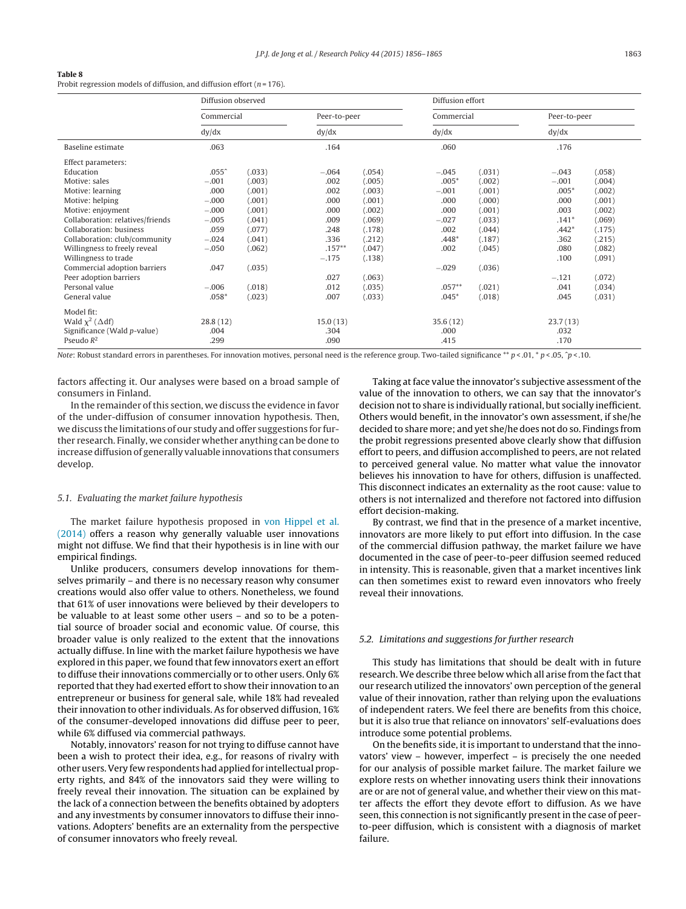#### <span id="page-7-0"></span>**Table 8**

Probit regression models of diffusion, and diffusion effort ( $n = 176$ ).

|                                  | Diffusion observed |        |              |        | Diffusion effort |         |              |        |
|----------------------------------|--------------------|--------|--------------|--------|------------------|---------|--------------|--------|
|                                  | Commercial         |        | Peer-to-peer |        | Commercial       |         | Peer-to-peer |        |
|                                  | dy/dx              |        | dy/dx        |        | dy/dx            |         | dy/dx        |        |
| Baseline estimate                | .063               |        | .164         |        | .060             |         | .176         |        |
| Effect parameters:               |                    |        |              |        |                  |         |              |        |
| Education                        | $.055^{\circ}$     | (.033) | $-.064$      | (.054) | $-.045$          | (.031)  | $-.043$      | (.058) |
| Motive: sales                    | $-.001$            | (.003) | .002         | (.005) | $.005*$          | (.002)  | $-.001$      | (.004) |
| Motive: learning                 | .000               | (.001) | .002         | (.003) | $-.001$          | (.001)  | $.005*$      | (.002) |
| Motive: helping                  | $-.000$            | (.001) | .000         | (.001) | .000             | (0.000) | .000         | (.001) |
| Motive: enjoyment                | $-.000$            | (.001) | .000         | (.002) | .000             | (.001)  | .003         | (.002) |
| Collaboration: relatives/friends | $-.005$            | (.041) | .009         | (.069) | $-.027$          | (.033)  | $.141*$      | (.069) |
| Collaboration: business          | .059               | (.077) | .248         | (.178) | .002             | (.044)  | $.442*$      | (.175) |
| Collaboration: club/community    | $-.024$            | (.041) | .336         | (.212) | $.448*$          | (.187)  | .362         | (.215) |
| Willingness to freely reveal     | $-.050$            | (.062) | $.157**$     | (.047) | .002             | (.045)  | .080         | (.082) |
| Willingness to trade             |                    |        | $-.175$      | (.138) |                  |         | .100         | (.091) |
| Commercial adoption barriers     | .047               | (.035) |              |        | $-.029$          | (.036)  |              |        |
| Peer adoption barriers           |                    |        | .027         | (.063) |                  |         | $-.121$      | (.072) |
| Personal value                   | $-.006$            | (.018) | .012         | (.035) | $.057**$         | (.021)  | .041         | (.034) |
| General value                    | $.058*$            | (.023) | .007         | (.033) | $.045*$          | (.018)  | .045         | (.031) |
| Model fit:                       |                    |        |              |        |                  |         |              |        |
| Wald $\chi^2$ ( $\Delta$ df)     | 28.8(12)           |        | 15.0(13)     |        | 35.6(12)         |         | 23.7(13)     |        |
| Significance (Wald p-value)      | .004               |        | .304         |        | .000             |         | .032         |        |
| Pseudo $R^2$                     | .299               |        | .090         |        | .415             |         | .170         |        |

Note: Robust standard errors in parentheses. For innovation motives, personal need is the reference group. Two-tailed significance \*\* p <.01, \* p <.05, ^p <.10.

factors affecting it. Our analyses were based on a broad sample of consumers in Finland.

In the remainder of this section, we discuss the evidence in favor of the under-diffusion of consumer innovation hypothesis. Then, we discuss the limitations of our study and offer suggestions for further research. Finally, we consider whether anything can be done to increase diffusion of generally valuable innovations that consumers develop.

## 5.1. Evaluating the market failure hypothesis

The market failure hypothesis proposed in [von](#page-9-0) [Hippel](#page-9-0) et [al.](#page-9-0) [\(2014\)](#page-9-0) offers a reason why generally valuable user innovations might not diffuse. We find that their hypothesis is in line with our empirical findings.

Unlike producers, consumers develop innovations for themselves primarily – and there is no necessary reason why consumer creations would also offer value to others. Nonetheless, we found that 61% of user innovations were believed by their developers to be valuable to at least some other users – and so to be a potential source of broader social and economic value. Of course, this broader value is only realized to the extent that the innovations actually diffuse. In line with the market failure hypothesis we have explored in this paper, we found that few innovators exert an effort to diffuse their innovations commercially or to other users. Only 6% reported that they had exerted effort to show their innovation to an entrepreneur or business for general sale, while 18% had revealed their innovation to other individuals. As for observed diffusion, 16% of the consumer-developed innovations did diffuse peer to peer, while 6% diffused via commercial pathways.

Notably, innovators' reason for not trying to diffuse cannot have been a wish to protect their idea, e.g., for reasons of rivalry with other users.Very few respondents had applied for intellectual property rights, and 84% of the innovators said they were willing to freely reveal their innovation. The situation can be explained by the lack of a connection between the benefits obtained by adopters and any investments by consumer innovators to diffuse their innovations. Adopters' benefits are an externality from the perspective of consumer innovators who freely reveal.

Taking at face value the innovator's subjective assessment of the value of the innovation to others, we can say that the innovator's decision not to share is individually rational, but socially inefficient. Others would benefit, in the innovator's own assessment, if she/he decided to share more; and yet she/he does not do so. Findings from the probit regressions presented above clearly show that diffusion effort to peers, and diffusion accomplished to peers, are not related to perceived general value. No matter what value the innovator believes his innovation to have for others, diffusion is unaffected. This disconnect indicates an externality as the root cause: value to others is not internalized and therefore not factored into diffusion effort decision-making.

By contrast, we find that in the presence of a market incentive, innovators are more likely to put effort into diffusion. In the case of the commercial diffusion pathway, the market failure we have documented in the case of peer-to-peer diffusion seemed reduced in intensity. This is reasonable, given that a market incentives link can then sometimes exist to reward even innovators who freely reveal their innovations.

## 5.2. Limitations and suggestions for further research

This study has limitations that should be dealt with in future research. We describe three below which all arise from the fact that our research utilized the innovators' own perception of the general value of their innovation, rather than relying upon the evaluations of independent raters. We feel there are benefits from this choice, but it is also true that reliance on innovators' self-evaluations does introduce some potential problems.

On the benefits side, it is important to understand that the innovators' view – however, imperfect – is precisely the one needed for our analysis of possible market failure. The market failure we explore rests on whether innovating users think their innovations are or are not of general value, and whether their view on this matter affects the effort they devote effort to diffusion. As we have seen, this connection is not significantly present in the case of peerto-peer diffusion, which is consistent with a diagnosis of market failure.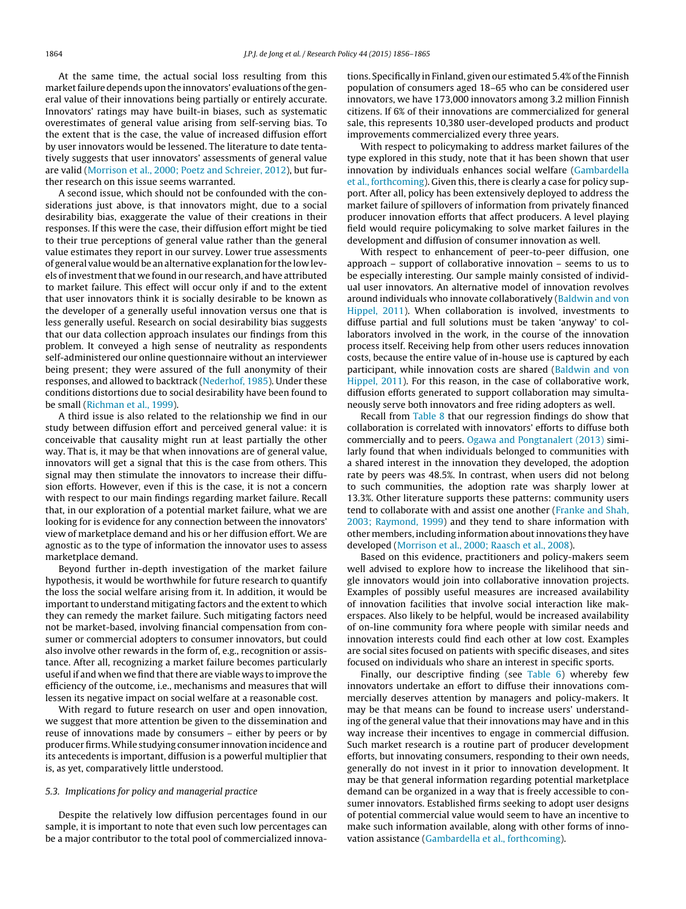At the same time, the actual social loss resulting from this market failure depends upon the innovators' evaluations of the general value of their innovations being partially or entirely accurate. Innovators' ratings may have built-in biases, such as systematic overestimates of general value arising from self-serving bias. To the extent that is the case, the value of increased diffusion effort by user innovators would be lessened. The literature to date tentatively suggests that user innovators' assessments of general value are valid ([Morrison](#page-9-0) et [al.,](#page-9-0) [2000;](#page-9-0) [Poetz](#page-9-0) [and](#page-9-0) [Schreier,](#page-9-0) [2012\),](#page-9-0) but further research on this issue seems warranted.

A second issue, which should not be confounded with the considerations just above, is that innovators might, due to a social desirability bias, exaggerate the value of their creations in their responses. If this were the case, their diffusion effort might be tied to their true perceptions of general value rather than the general value estimates they report in our survey. Lower true assessments of general value would be an alternative explanation for the low levels of investment that we found in our research, and have attributed to market failure. This effect will occur only if and to the extent that user innovators think it is socially desirable to be known as the developer of a generally useful innovation versus one that is less generally useful. Research on social desirability bias suggests that our data collection approach insulates our findings from this problem. It conveyed a high sense of neutrality as respondents self-administered our online questionnaire without an interviewer being present; they were assured of the full anonymity of their responses, and allowed to backtrack ([Nederhof,](#page-9-0) [1985\).](#page-9-0) Under these conditions distortions due to social desirability have been found to be small ([Richman](#page-9-0) et [al.,](#page-9-0) [1999\).](#page-9-0)

A third issue is also related to the relationship we find in our study between diffusion effort and perceived general value: it is conceivable that causality might run at least partially the other way. That is, it may be that when innovations are of general value, innovators will get a signal that this is the case from others. This signal may then stimulate the innovators to increase their diffusion efforts. However, even if this is the case, it is not a concern with respect to our main findings regarding market failure. Recall that, in our exploration of a potential market failure, what we are looking for is evidence for any connection between the innovators' view of marketplace demand and his or her diffusion effort. We are agnostic as to the type of information the innovator uses to assess marketplace demand.

Beyond further in-depth investigation of the market failure hypothesis, it would be worthwhile for future research to quantify the loss the social welfare arising from it. In addition, it would be important to understand mitigating factors and the extent to which they can remedy the market failure. Such mitigating factors need not be market-based, involving financial compensation from consumer or commercial adopters to consumer innovators, but could also involve other rewards in the form of, e.g., recognition or assistance. After all, recognizing a market failure becomes particularly useful if and when we find that there are viable ways to improve the efficiency of the outcome, i.e., mechanisms and measures that will lessen its negative impact on social welfare at a reasonable cost.

With regard to future research on user and open innovation, we suggest that more attention be given to the dissemination and reuse of innovations made by consumers – either by peers or by producer firms. While studying consumer innovation incidence and its antecedents is important, diffusion is a powerful multiplier that is, as yet, comparatively little understood.

# 5.3. Implications for policy and managerial practice

Despite the relatively low diffusion percentages found in our sample, it is important to note that even such low percentages can be a major contributor to the total pool of commercialized innovations. Specifically in Finland, given our estimated 5.4% of the Finnish population of consumers aged 18–65 who can be considered user innovators, we have 173,000 innovators among 3.2 million Finnish citizens. If 6% of their innovations are commercialized for general sale, this represents 10,380 user-developed products and product improvements commercialized every three years.

With respect to policymaking to address market failures of the type explored in this study, note that it has been shown that user innovation by individuals enhances social welfare [\(Gambardella](#page-9-0) et [al.,](#page-9-0) [forthcoming\).](#page-9-0) Given this, there is clearly a case for policy support. After all, policy has been extensively deployed to address the market failure of spillovers of information from privately financed producer innovation efforts that affect producers. A level playing field would require policymaking to solve market failures in the development and diffusion of consumer innovation as well.

With respect to enhancement of peer-to-peer diffusion, one approach – support of collaborative innovation – seems to us to be especially interesting. Our sample mainly consisted of individual user innovators. An alternative model of innovation revolves around individuals who innovate collaboratively ([Baldwin](#page-9-0) [and](#page-9-0) [von](#page-9-0) [Hippel,](#page-9-0) [2011\).](#page-9-0) When collaboration is involved, investments to diffuse partial and full solutions must be taken 'anyway' to collaborators involved in the work, in the course of the innovation process itself. Receiving help from other users reduces innovation costs, because the entire value of in-house use is captured by each participant, while innovation costs are shared ([Baldwin](#page-9-0) [and](#page-9-0) [von](#page-9-0) [Hippel,](#page-9-0) [2011\).](#page-9-0) For this reason, in the case of collaborative work, diffusion efforts generated to support collaboration may simultaneously serve both innovators and free riding adopters as well.

Recall from [Table](#page-7-0) 8 that our regression findings do show that collaboration is correlated with innovators' efforts to diffuse both commercially and to peers. [Ogawa](#page-9-0) [and](#page-9-0) [Pongtanalert](#page-9-0) [\(2013\)](#page-9-0) similarly found that when individuals belonged to communities with a shared interest in the innovation they developed, the adoption rate by peers was 48.5%. In contrast, when users did not belong to such communities, the adoption rate was sharply lower at 13.3%. Other literature supports these patterns: community users tend to collaborate with and assist one another ([Franke](#page-9-0) [and](#page-9-0) [Shah,](#page-9-0) [2003;](#page-9-0) [Raymond,](#page-9-0) [1999\)](#page-9-0) and they tend to share information with other members, including information aboutinnovations they have developed [\(Morrison](#page-9-0) et [al.,](#page-9-0) [2000;](#page-9-0) [Raasch](#page-9-0) et [al.,](#page-9-0) [2008\).](#page-9-0)

Based on this evidence, practitioners and policy-makers seem well advised to explore how to increase the likelihood that single innovators would join into collaborative innovation projects. Examples of possibly useful measures are increased availability of innovation facilities that involve social interaction like makerspaces. Also likely to be helpful, would be increased availability of on-line community fora where people with similar needs and innovation interests could find each other at low cost. Examples are social sites focused on patients with specific diseases, and sites focused on individuals who share an interest in specific sports.

Finally, our descriptive finding (see [Table](#page-5-0) 6) whereby few innovators undertake an effort to diffuse their innovations commercially deserves attention by managers and policy-makers. It may be that means can be found to increase users' understanding of the general value that their innovations may have and in this way increase their incentives to engage in commercial diffusion. Such market research is a routine part of producer development efforts, but innovating consumers, responding to their own needs, generally do not invest in it prior to innovation development. It may be that general information regarding potential marketplace demand can be organized in a way that is freely accessible to consumer innovators. Established firms seeking to adopt user designs of potential commercial value would seem to have an incentive to make such information available, along with other forms of innovation assistance [\(Gambardella](#page-9-0) et [al.,](#page-9-0) [forthcoming\).](#page-9-0)